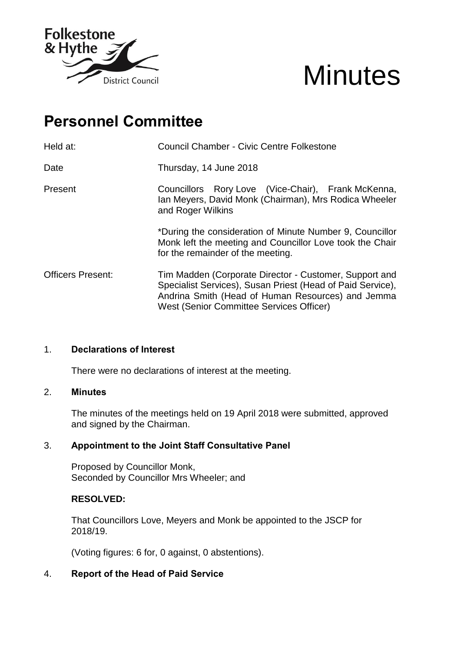

# **Minutes**

# **Personnel Committee**

| Held at:                 | <b>Council Chamber - Civic Centre Folkestone</b>                                                                                                                                                                      |
|--------------------------|-----------------------------------------------------------------------------------------------------------------------------------------------------------------------------------------------------------------------|
| Date                     | Thursday, 14 June 2018                                                                                                                                                                                                |
| Present                  | Councillors Rory Love (Vice-Chair), Frank McKenna,<br>Ian Meyers, David Monk (Chairman), Mrs Rodica Wheeler<br>and Roger Wilkins                                                                                      |
|                          | *During the consideration of Minute Number 9, Councillor<br>Monk left the meeting and Councillor Love took the Chair<br>for the remainder of the meeting.                                                             |
| <b>Officers Present:</b> | Tim Madden (Corporate Director - Customer, Support and<br>Specialist Services), Susan Priest (Head of Paid Service),<br>Andrina Smith (Head of Human Resources) and Jemma<br>West (Senior Committee Services Officer) |

# 1. **Declarations of Interest**

There were no declarations of interest at the meeting.

## 2. **Minutes**

The minutes of the meetings held on 19 April 2018 were submitted, approved and signed by the Chairman.

## 3. **Appointment to the Joint Staff Consultative Panel**

Proposed by Councillor Monk, Seconded by Councillor Mrs Wheeler; and

## **RESOLVED:**

That Councillors Love, Meyers and Monk be appointed to the JSCP for 2018/19.

(Voting figures: 6 for, 0 against, 0 abstentions).

# 4. **Report of the Head of Paid Service**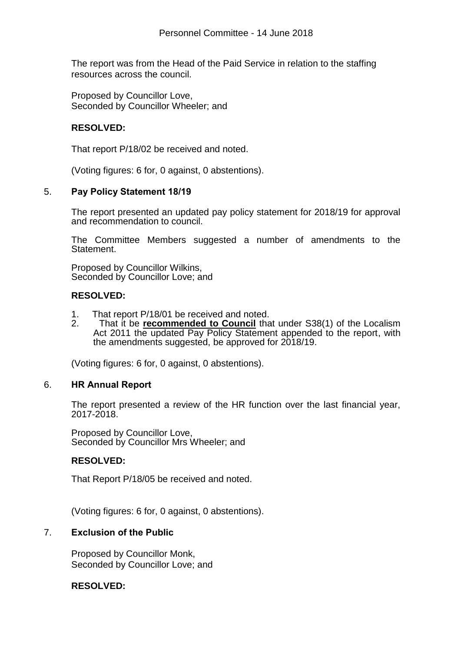The report was from the Head of the Paid Service in relation to the staffing resources across the council.

Proposed by Councillor Love, Seconded by Councillor Wheeler; and

# **RESOLVED:**

That report P/18/02 be received and noted.

(Voting figures: 6 for, 0 against, 0 abstentions).

## 5. **Pay Policy Statement 18/19**

The report presented an updated pay policy statement for 2018/19 for approval and recommendation to council.

The Committee Members suggested a number of amendments to the Statement.

Proposed by Councillor Wilkins, Seconded by Councillor Love; and

## **RESOLVED:**

- 1. That report P/18/01 be received and noted.
- 2. That it be **recommended to Council** that under S38(1) of the Localism Act 2011 the updated Pay Policy Statement appended to the report, with the amendments suggested, be approved for 2018/19.

(Voting figures: 6 for, 0 against, 0 abstentions).

## 6. **HR Annual Report**

The report presented a review of the HR function over the last financial year, 2017-2018.

Proposed by Councillor Love, Seconded by Councillor Mrs Wheeler; and

## **RESOLVED:**

That Report P/18/05 be received and noted.

(Voting figures: 6 for, 0 against, 0 abstentions).

## 7. **Exclusion of the Public**

Proposed by Councillor Monk, Seconded by Councillor Love; and

## **RESOLVED:**